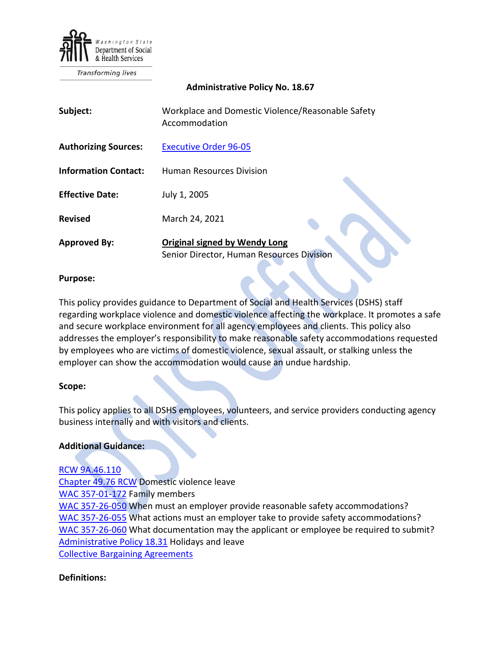

**Transforming lives** 

### **Administrative Policy No. 18.67**

| Subject:                    | Workplace and Domestic Violence/Reasonable Safety<br>Accommodation                |
|-----------------------------|-----------------------------------------------------------------------------------|
| <b>Authorizing Sources:</b> | <b>Executive Order 96-05</b>                                                      |
| <b>Information Contact:</b> | <b>Human Resources Division</b>                                                   |
| <b>Effective Date:</b>      | July 1, 2005                                                                      |
| <b>Revised</b>              | March 24, 2021                                                                    |
| <b>Approved By:</b>         | <b>Original signed by Wendy Long</b><br>Senior Director, Human Resources Division |

### **Purpose:**

This policy provides guidance to Department of Social and Health Services (DSHS) staff regarding workplace violence and domestic violence affecting the workplace. It promotes a safe and secure workplace environment for all agency employees and clients. This policy also addresses the employer's responsibility to make reasonable safety accommodations requested by employees who are victims of domestic violence, sexual assault, or stalking unless the employer can show the accommodation would cause an undue hardship.

### **Scope:**

This policy applies to all DSHS employees, volunteers, and service providers conducting agency business internally and with visitors and clients.

### **Additional Guidance:**

## [RCW 9A.46.110](https://app.leg.wa.gov/RCW/default.aspx?cite=9A.46.110)

[Chapter 49.76 RCW](https://apps.leg.wa.gov/rcw/default.aspx?cite=49.76) Domestic violence leave [WAC 357-01-172](https://apps.leg.wa.gov/wac/default.aspx?cite=357-01-172) Family members [WAC 357-26-050](https://apps.leg.wa.gov/wac/default.aspx?cite=357-26-050) When must an employer provide reasonable safety accommodations? [WAC 357-26-055](https://apps.leg.wa.gov/wac/default.aspx?cite=357-26-055) What actions must an employer take to provide safety accommodations? [WAC 357-26-060](https://apps.leg.wa.gov/wac/default.aspx?cite=357-26-060) What documentation may the applicant or employee be required to submit? [Administrative Policy 18.31](http://one.dshs.wa.lcl/Policies/Administrative/DSHS-AP-18-31.pdf) Holidays and leave [Collective Bargaining Agreements](https://ofm.wa.gov/state-human-resources/labor-relations/collective-bargaining-agreements/2019-21-collective-bargaining-agreements)

## **Definitions:**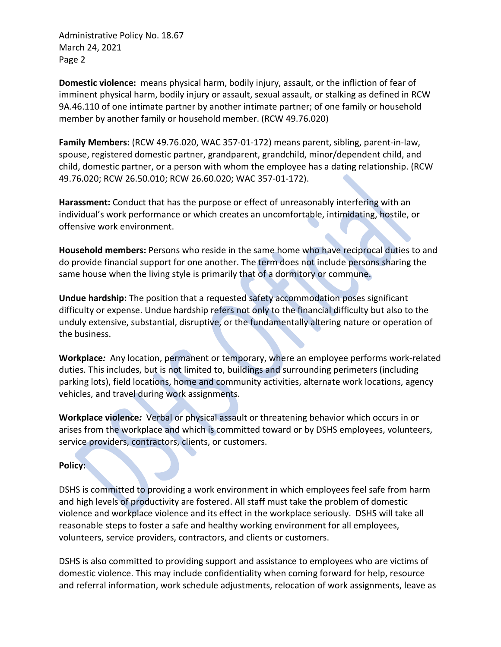**Domestic violence:** means physical harm, bodily injury, assault, or the infliction of fear of imminent physical harm, bodily injury or assault, sexual assault, or stalking as defined in RCW 9A.46.110 of one intimate partner by another intimate partner; of one family or household member by another family or household member. (RCW 49.76.020)

**Family Members:** (RCW 49.76.020, WAC 357-01-172) means parent, sibling, parent-in-law, spouse, registered domestic partner, grandparent, grandchild, minor/dependent child, and child, domestic partner, or a person with whom the employee has a dating relationship. (RCW 49.76.020; RCW 26.50.010; RCW 26.60.020; WAC 357-01-172).

**Harassment:** Conduct that has the purpose or effect of unreasonably interfering with an individual's work performance or which creates an uncomfortable, intimidating, hostile, or offensive work environment.

**Household members:** Persons who reside in the same home who have reciprocal duties to and do provide financial support for one another. The term does not include persons sharing the same house when the living style is primarily that of a dormitory or commune.

**Undue hardship:** The position that a requested safety accommodation poses significant difficulty or expense. Undue hardship refers not only to the financial difficulty but also to the unduly extensive, substantial, disruptive, or the fundamentally altering nature or operation of the business.

**Workplace***:* Any location, permanent or temporary, where an employee performs work-related duties. This includes, but is not limited to, buildings and surrounding perimeters (including parking lots), field locations, home and community activities, alternate work locations, agency vehicles, and travel during work assignments.

**Workplace violence***:* Verbal or physical assault or threatening behavior which occurs in or arises from the workplace and which is committed toward or by DSHS employees, volunteers, service providers, contractors, clients, or customers.

## **Policy:**

DSHS is committed to providing a work environment in which employees feel safe from harm and high levels of productivity are fostered. All staff must take the problem of domestic violence and workplace violence and its effect in the workplace seriously. DSHS will take all reasonable steps to foster a safe and healthy working environment for all employees, volunteers, service providers, contractors, and clients or customers.

DSHS is also committed to providing support and assistance to employees who are victims of domestic violence. This may include confidentiality when coming forward for help, resource and referral information, work schedule adjustments, relocation of work assignments, leave as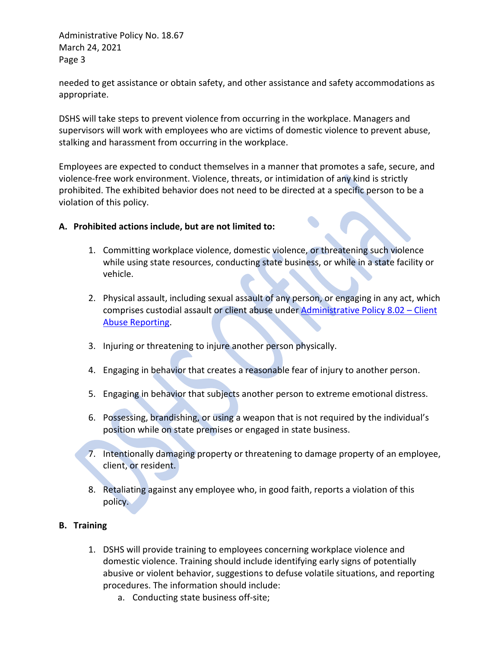needed to get assistance or obtain safety, and other assistance and safety accommodations as appropriate.

DSHS will take steps to prevent violence from occurring in the workplace. Managers and supervisors will work with employees who are victims of domestic violence to prevent abuse, stalking and harassment from occurring in the workplace.

Employees are expected to conduct themselves in a manner that promotes a safe, secure, and violence-free work environment. Violence, threats, or intimidation of any kind is strictly prohibited. The exhibited behavior does not need to be directed at a specific person to be a violation of this policy.

## **A. Prohibited actions include, but are not limited to:**

- 1. Committing workplace violence, domestic violence, or threatening such violence while using state resources, conducting state business, or while in a state facility or vehicle.
- 2. Physical assault, including sexual assault of any person, or engaging in any act, which comprises custodial assault or client abuse under [Administrative Policy 8.02 –](http://one.dshs.wa.lcl/Policies/Administrative/DSHS-AP-08-02.pdf) Client [Abuse Reporting.](http://one.dshs.wa.lcl/Policies/Administrative/DSHS-AP-08-02.pdf)
- 3. Injuring or threatening to injure another person physically.
- 4. Engaging in behavior that creates a reasonable fear of injury to another person.
- 5. Engaging in behavior that subjects another person to extreme emotional distress.
- 6. Possessing, brandishing, or using a weapon that is not required by the individual's position while on state premises or engaged in state business.
- 7. Intentionally damaging property or threatening to damage property of an employee, client, or resident.
- 8. Retaliating against any employee who, in good faith, reports a violation of this policy.

## **B. Training**

- 1. DSHS will provide training to employees concerning workplace violence and domestic violence. Training should include identifying early signs of potentially abusive or violent behavior, suggestions to defuse volatile situations, and reporting procedures. The information should include:
	- a. Conducting state business off-site;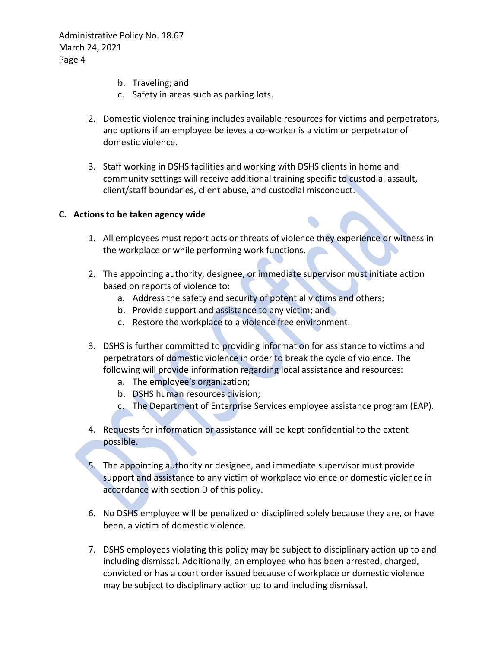- b. Traveling; and
- c. Safety in areas such as parking lots.
- 2. Domestic violence training includes available resources for victims and perpetrators, and options if an employee believes a co-worker is a victim or perpetrator of domestic violence.
- 3. Staff working in DSHS facilities and working with DSHS clients in home and community settings will receive additional training specific to custodial assault, client/staff boundaries, client abuse, and custodial misconduct.

## **C. Actions to be taken agency wide**

- 1. All employees must report acts or threats of violence they experience or witness in the workplace or while performing work functions.
- 2. The appointing authority, designee, or immediate supervisor must initiate action based on reports of violence to:
	- a. Address the safety and security of potential victims and others;
	- b. Provide support and assistance to any victim; and
	- c. Restore the workplace to a violence free environment.
- 3. DSHS is further committed to providing information for assistance to victims and perpetrators of domestic violence in order to break the cycle of violence. The following will provide information regarding local assistance and resources:
	- a. The employee's organization;
	- b. DSHS human resources division;
	- c. The Department of Enterprise Services employee assistance program (EAP).
- 4. Requests for information or assistance will be kept confidential to the extent possible.
- 5. The appointing authority or designee, and immediate supervisor must provide support and assistance to any victim of workplace violence or domestic violence in accordance with section D of this policy.
- 6. No DSHS employee will be penalized or disciplined solely because they are, or have been, a victim of domestic violence.
- 7. DSHS employees violating this policy may be subject to disciplinary action up to and including dismissal. Additionally, an employee who has been arrested, charged, convicted or has a court order issued because of workplace or domestic violence may be subject to disciplinary action up to and including dismissal.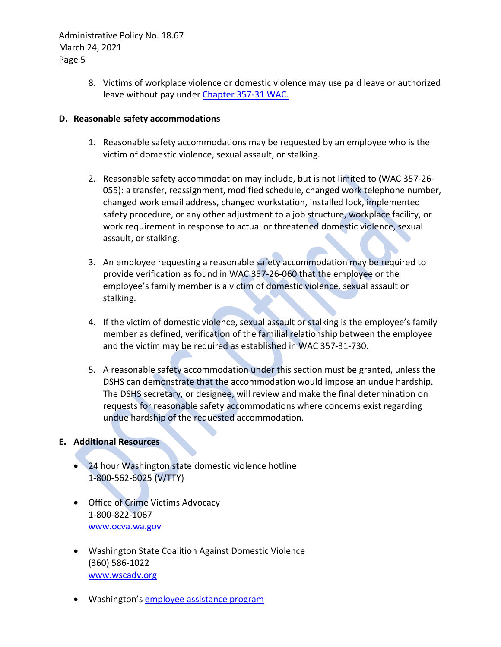> 8. Victims of workplace violence or domestic violence may use paid leave or authorized leave without pay under [Chapter 357-31 WAC.](http://apps.leg.wa.gov/WAC/default.aspx?cite=357-31)

## **D. Reasonable safety accommodations**

- 1. Reasonable safety accommodations may be requested by an employee who is the victim of domestic violence, sexual assault, or stalking.
- 2. Reasonable safety accommodation may include, but is not limited to (WAC 357-26- 055): a transfer, reassignment, modified schedule, changed work telephone number, changed work email address, changed workstation, installed lock, implemented safety procedure, or any other adjustment to a job structure, workplace facility, or work requirement in response to actual or threatened domestic violence, sexual assault, or stalking.
- 3. An employee requesting a reasonable safety accommodation may be required to provide verification as found in WAC 357-26-060 that the employee or the employee's family member is a victim of domestic violence, sexual assault or stalking.
- 4. If the victim of domestic violence, sexual assault or stalking is the employee's family member as defined, verification of the familial relationship between the employee and the victim may be required as established in WAC 357-31-730.
- 5. A reasonable safety accommodation under this section must be granted, unless the DSHS can demonstrate that the accommodation would impose an undue hardship. The DSHS secretary, or designee, will review and make the final determination on requests for reasonable safety accommodations where concerns exist regarding undue hardship of the requested accommodation.

# **E. Additional Resources**

- 24 hour Washington state domestic violence hotline 1-800-562-6025 (V/TTY)
- Office of Crime Victims Advocacy 1-800-822-1067 [www.ocva.wa.gov](http://www.ocva.wa.gov/)
- Washington State Coalition Against Domestic Violence (360) 586-1022 [www.wscadv.org](http://www.wscadv.org/)
- Washington's [employee assistance program](https://des.wa.gov/services/hr-finance/washington-state-employee-assistance-program-eap)